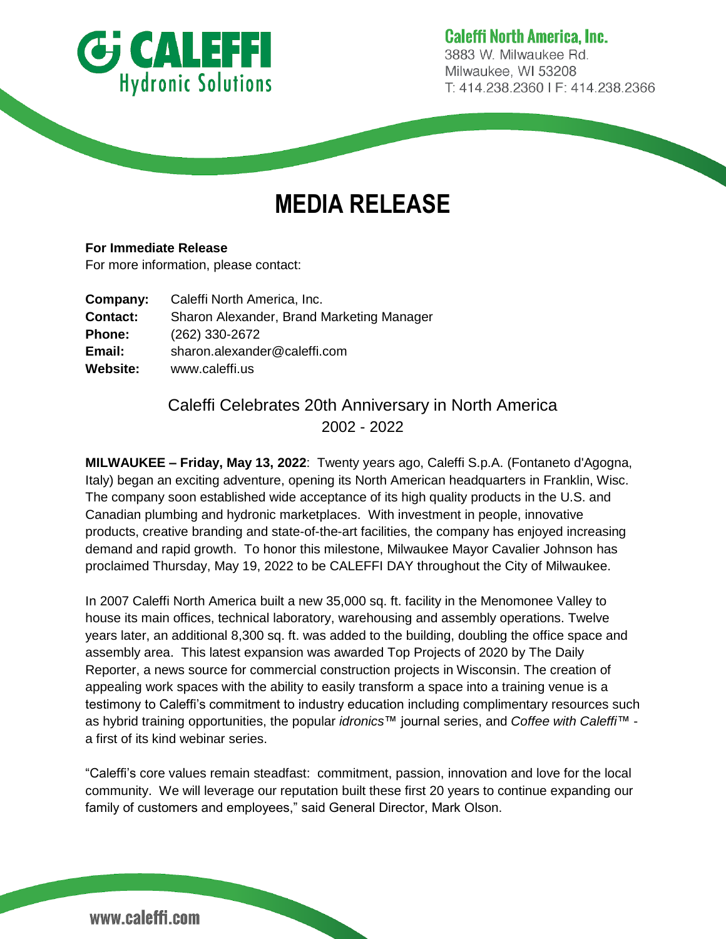

## **Caleffi North America, Inc.**

3883 W. Milwaukee Rd. Milwaukee, WI 53208 T: 414.238.2360 | F: 414.238.2366

## **MEDIA RELEASE**

## **For Immediate Release**

For more information, please contact:

| Company:        | Caleffi North America, Inc.               |
|-----------------|-------------------------------------------|
| <b>Contact:</b> | Sharon Alexander, Brand Marketing Manager |
| Phone:          | (262) 330-2672                            |
| Email:          | sharon.alexander@caleffi.com              |
| Website:        | www.caleffi.us                            |
|                 |                                           |

## Caleffi Celebrates 20th Anniversary in North America 2002 - 2022

**MILWAUKEE – Friday, May 13, 2022**: Twenty years ago, Caleffi S.p.A. (Fontaneto d'Agogna, Italy) began an exciting adventure, opening its North American headquarters in Franklin, Wisc. The company soon established wide acceptance of its high quality products in the U.S. and Canadian plumbing and hydronic marketplaces. With investment in people, innovative products, creative branding and state-of-the-art facilities, the company has enjoyed increasing demand and rapid growth. To honor this milestone, Milwaukee Mayor Cavalier Johnson has proclaimed Thursday, May 19, 2022 to be CALEFFI DAY throughout the City of Milwaukee.

In 2007 Caleffi North America built a new 35,000 sq. ft. facility in the Menomonee Valley to house its main offices, technical laboratory, warehousing and assembly operations. Twelve years later, an additional 8,300 sq. ft. was added to the building, doubling the office space and assembly area. This latest expansion was awarded Top Projects of 2020 by The Daily Reporter, a news source for commercial construction projects in Wisconsin. The creation of appealing work spaces with the ability to easily transform a space into a training venue is a testimony to Caleffi's commitment to industry education including complimentary resources such as hybrid training opportunities, the popular *idronics*™ journal series, and *Coffee with Caleffi*™ a first of its kind webinar series.

"Caleffi's core values remain steadfast: commitment, passion, innovation and love for the local community. We will leverage our reputation built these first 20 years to continue expanding our family of customers and employees," said General Director, Mark Olson.